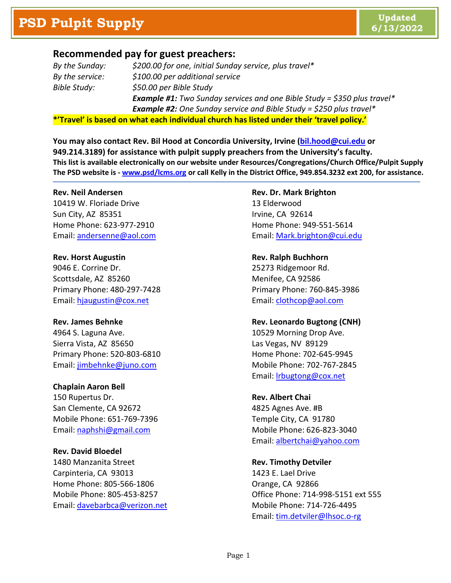### **Recommended pay for guest preachers:**

| By the Sunday:                                                                            | \$200.00 for one, initial Sunday service, plus travel*                          |
|-------------------------------------------------------------------------------------------|---------------------------------------------------------------------------------|
| By the service:                                                                           | \$100.00 per additional service                                                 |
| Bible Study:                                                                              | \$50.00 per Bible Study                                                         |
|                                                                                           | <b>Example #1:</b> Two Sunday services and one Bible Study = \$350 plus travel* |
|                                                                                           | <b>Example #2:</b> One Sunday service and Bible Study = \$250 plus travel*      |
| *'Travel' is based on what each individual church has listed under their 'travel policy.' |                                                                                 |

**You may also contact Rev. Bil Hood at Concordia University, Irvine [\(bil.hood@cui.edu](mailto:bil.hood@cui.edu) or 949.214.3189) for assistance with pulpit supply preachers from the University's faculty. This list is available electronically on our website under Resources/Congregations/Church Office/Pulpit Supply The PSD website is - [www.psd/lcms.org](http://www.psd/lcms.org) or call Kelly in the District Office, 949.854.3232 ext 200, for assistance.**

### **Rev. Neil Andersen**

10419 W. Floriade Drive Sun City, AZ 85351 Home Phone: 623-977-2910 Email: [andersenne@aol.com](mailto:andersenne@aol.com)

**Rev. Horst Augustin** 9046 E. Corrine Dr. Scottsdale, AZ 85260 Primary Phone: 480-297-7428 Email: [hjaugustin@cox.net](mailto:hjaugustin@cox.net)

### **Rev. James Behnke**

4964 S. Laguna Ave. Sierra Vista, AZ 85650 Primary Phone: 520-803-6810 Email: [jimbehnke@juno.com](mailto:jimbehnke@juno.com)

### **Chaplain Aaron Bell**

150 Rupertus Dr. San Clemente, CA 92672 Mobile Phone: 651-769-7396 Email: [naphshi@gmail.com](mailto:naphshi@gmail.com)

### **Rev. David Bloedel**

1480 Manzanita Street Carpinteria, CA 93013 Home Phone: 805-566-1806 Mobile Phone: 805-453-8257 Email: [davebarbca@verizon.net](mailto:davebarbca@verizon.net)

## **Rev. Dr. Mark Brighton**

13 Elderwood Irvine, CA 92614 Home Phone: 949-551-5614 Email[: Mark.brighton@cui.edu](mailto:Mark.brighton@cui.edu)

### **Rev. Ralph Buchhorn**

25273 Ridgemoor Rd. Menifee, CA 92586 Primary Phone: 760-845-3986 Email[: clothcop@aol.com](mailto:clothcop@aol.com)

### **Rev. Leonardo Bugtong (CNH)**

10529 Morning Drop Ave. Las Vegas, NV 89129 Home Phone: 702-645-9945 Mobile Phone: 702-767-2845 Email[: lrbugtong@cox.net](mailto:lrbugtong@cox.net)

### **Rev. Albert Chai**

4825 Agnes Ave. #B Temple City, CA 91780 Mobile Phone: 626-823-3040 Email[: albertchai@yahoo.com](mailto:albertchai@yahoo.com)

**Rev. Timothy Detviler** 1423 E. Lael Drive Orange, CA 92866 Office Phone: 714-998-5151 ext 555 Mobile Phone: 714-726-4495 Email[: tim.detviler@lhsoc.o-rg](mailto:tim.detviler@lhsoc.o-rg)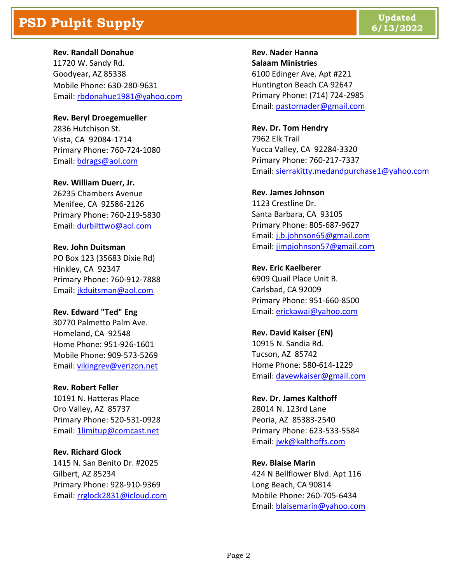# **PSD Pulpit Supply Updated Updated Updated Updated Updated Updated Updated Updated**

**Rev. Randall Donahue**

11720 W. Sandy Rd. Goodyear, AZ 85338 Mobile Phone: 630-280-9631 Email: [rbdonahue1981@yahoo.com](mailto:rbdonahue1981@yahoo.com)

**Rev. Beryl Droegemueller** 2836 Hutchison St. Vista, CA 92084-1714 Primary Phone: 760-724-1080 Email: [bdrags@aol.com](mailto:bdrags@aol.com)

**Rev. William Duerr, Jr.** 26235 Chambers Avenue Menifee, CA 92586-2126 Primary Phone: 760-219-5830 Email: [durbilttwo@aol.com](mailto:durbilttwo@aol.com)

**Rev. John Duitsman** PO Box 123 (35683 Dixie Rd) Hinkley, CA 92347 Primary Phone: 760-912-7888 Email: [jkduitsman@aol.com](mailto:jkduitsman@aol.com)

### **Rev. Edward "Ted" Eng** 30770 Palmetto Palm Ave.

Homeland, CA 92548 Home Phone: 951-926-1601 Mobile Phone: 909-573-5269 Email: [vikingrev@verizon.net](mailto:vikingrev@verizon.net)

### **Rev. Robert Feller**

10191 N. Hatteras Place Oro Valley, AZ 85737 Primary Phone: 520-531-0928 Email: [1limitup@comcast.net](mailto:1limitup@comcast.net)

**Rev. Richard Glock** 1415 N. San Benito Dr. #2025 Gilbert, AZ 85234 Primary Phone: 928-910-9369 Email: [rrglock2831@icloud.com](mailto:rrglock2831@icloud.com) **Rev. Nader Hanna Salaam Ministries** 6100 Edinger Ave. Apt #221 Huntington Beach CA 92647 Primary Phone: (714) 724-2985 Email[: pastornader@gmail.com](mailto:pastornader@gmail.com)

**Rev. Dr. Tom Hendry** 7962 Elk Trail Yucca Valley, CA 92284-3320 Primary Phone: 760-217-7337 Email[: sierrakitty.medandpurchase1@yahoo.com](mailto:sierrakitty.medandpurchase1@yahoo.com)

**Rev. James Johnson** 1123 Crestline Dr. Santa Barbara, CA 93105 Primary Phone: 805-687-9627 Email[: j.b.johnson65@gmail.com](mailto:j.b.johnson65@gmail.com) Email[: jimpjohnson57@gmail.com](mailto:jimpjohnson57@gmail.com)

**Rev. Eric Kaelberer** 6909 Quail Place Unit B. Carlsbad, CA 92009 Primary Phone: 951-660-8500 Email[: erickawai@yahoo.com](mailto:erickawai@yahoo.com)

**Rev. David Kaiser (EN)** 10915 N. Sandia Rd. Tucson, AZ 85742 Home Phone: 580-614-1229 Email[: davewkaiser@gmail.com](mailto:davewkaiser@gmail.com)

**Rev. Dr. James Kalthoff** 28014 N. 123rd Lane Peoria, AZ 85383-2540 Primary Phone: 623-533-5584 Email[: jwk@kalthoffs.com](mailto:jwk@kalthoffs.com)

**Rev. Blaise Marin** 424 N Bellflower Blvd. Apt 116 Long Beach, CA 90814 Mobile Phone: 260-705-6434 Email[: blaisemarin@yahoo.com](mailto:blaisemarin@yahoo.com)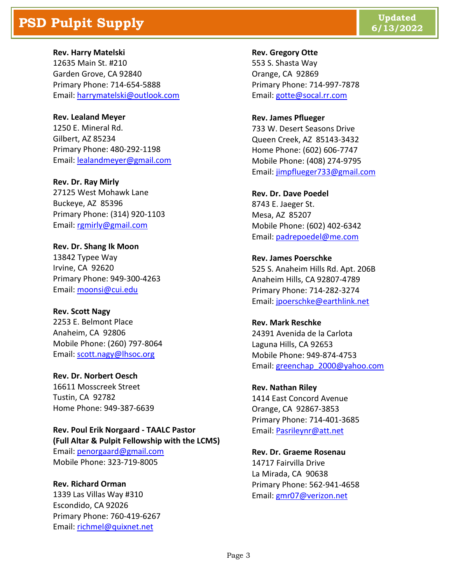# **PSD Pulpit Supply Updated Updated Updated Updated Updated Updated Updated Updated**

**Rev. Harry Matelski** 12635 Main St. #210 Garden Grove, CA 92840 Primary Phone: 714-654-5888 Email: [harrymatelski@outlook.com](mailto:harrymatelski@outlook.com)

**Rev. Lealand Meyer** 1250 E. Mineral Rd. Gilbert, AZ 85234 Primary Phone: 480-292-1198 Email: [lealandmeyer@gmail.com](mailto:lealandmeyer@gmail.com)

**Rev. Dr. Ray Mirly** 27125 West Mohawk Lane Buckeye, AZ 85396 Primary Phone: (314) 920-1103 Email: [rgmirly@gmail.com](mailto:rgmirly@gmail.com)

**Rev. Dr. Shang Ik Moon** 13842 Typee Way Irvine, CA 92620 Primary Phone: 949-300-4263 Email: [moonsi@cui.edu](mailto:moonsi@cui.edu)

**Rev. Scott Nagy** 2253 E. Belmont Place Anaheim, CA 92806 Mobile Phone: (260) 797-8064 Email: [scott.nagy@lhsoc.org](mailto:scott.nagy@lhsoc.org)

**Rev. Dr. Norbert Oesch** 16611 Mosscreek Street Tustin, CA 92782 Home Phone: 949-387-6639

**Rev. Poul Erik Norgaard - TAALC Pastor (Full Altar & Pulpit Fellowship with the LCMS)** Email: [penorgaard@gmail.com](mailto:penorgaard@gmail.com) Mobile Phone: 323-719-8005

**Rev. Richard Orman** 1339 Las Villas Way #310 Escondido, CA 92026 Primary Phone: 760-419-6267 Email: [richmel@quixnet.net](mailto:richmel@quixnet.net)

**Rev. Gregory Otte** 553 S. Shasta Way Orange, CA 92869 Primary Phone: 714-997-7878 Email[: gotte@socal.rr.com](mailto:gotte@socal.rr.com)

**Rev. James Pflueger** 733 W. Desert Seasons Drive Queen Creek, AZ 85143-3432 Home Phone: (602) 606-7747 Mobile Phone: (408) 274-9795 Email[: jimpflueger733@gmail.com](mailto:jimpflueger733@gmail.com)

**Rev. Dr. Dave Poedel** 8743 E. Jaeger St. Mesa, AZ 85207 Mobile Phone: (602) 402-6342 Email[: padrepoedel@me.com](mailto:padrepoedel@me.com)

**Rev. James Poerschke** 525 S. Anaheim Hills Rd. Apt. 206B Anaheim Hills, CA 92807-4789 Primary Phone: 714-282-3274 Email[: jpoerschke@earthlink.net](mailto:jpoerschke@earthlink.net)

**Rev. Mark Reschke** 24391 Avenida de la Carlota Laguna Hills, CA 92653 Mobile Phone: 949-874-4753 Email[: greenchap\\_2000@yahoo.com](mailto:greenchap_2000@yahoo.com)

**Rev. Nathan Riley** 1414 East Concord Avenue Orange, CA 92867-3853 Primary Phone: 714-401-3685 Email[: Pasrileynr@att.net](mailto:Pasrileynr@att.net)

**Rev. Dr. Graeme Rosenau** 14717 Fairvilla Drive La Mirada, CA 90638 Primary Phone: 562-941-4658 Email[: gmr07@verizon.net](mailto:gmr07@verizon.net)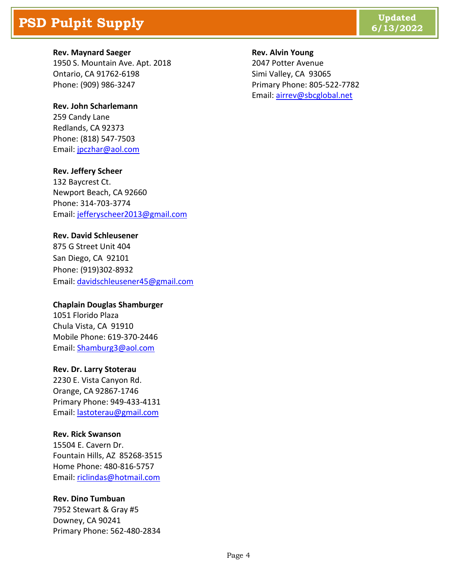# **PSD Pulpit Supply Updated Updated Updated Updated Updated Updated Updated Updated Updated** *Updated* **<b>Updated**

### **Rev. Maynard Saeger**

1950 S. Mountain Ave. Apt. 2018 Ontario, CA 91762-6198 Phone: (909) 986-3247

### **Rev. John Scharlemann**

259 Candy Lane Redlands, CA 92373 Phone: (818) 547-7503 Email: [jpczhar@aol.com](mailto:jpczhar@aol.com)

### **Rev. Jeffery Scheer**

132 Baycrest Ct. Newport Beach, CA 92660 Phone: 314-703-3774 Email: [jefferyscheer2013@gmail.com](mailto:jefferyscheer2013@gmail.com)

### **Rev. David Schleusener**

875 G Street Unit 404 San Diego, CA 92101 Phone: [\(919\)302-8932](tel:(919)302-8932) Email: [davidschleusener45@gmail.com](mailto:davidschleusener45@gmail.com)

### **Chaplain Douglas Shamburger**

1051 Florido Plaza Chula Vista, CA 91910 Mobile Phone: 619-370-2446 Email: [Shamburg3@aol.com](mailto:Shamburg3@aol.com)

### **Rev. Dr. Larry Stoterau**

2230 E. Vista Canyon Rd. Orange, CA 92867-1746 Primary Phone: 949-433-4131 Email: [lastoterau@gmail.com](mailto:lastoterau@gmail.com)

### **Rev. Rick Swanson**

15504 E. Cavern Dr. Fountain Hills, AZ 85268-3515 Home Phone: 480-816-5757 Email: [riclindas@hotmail.com](mailto:riclindas@hotmail.com)

### **Rev. Dino Tumbuan**

7952 Stewart & Gray #5 Downey, CA 90241 Primary Phone: 562-480-2834

#### **Rev. Alvin Young**

2047 Potter Avenue Simi Valley, CA 93065 Primary Phone: 805-522-7782 Email[: airrev@sbcglobal.net](mailto:airrev@sbcglobal.net)